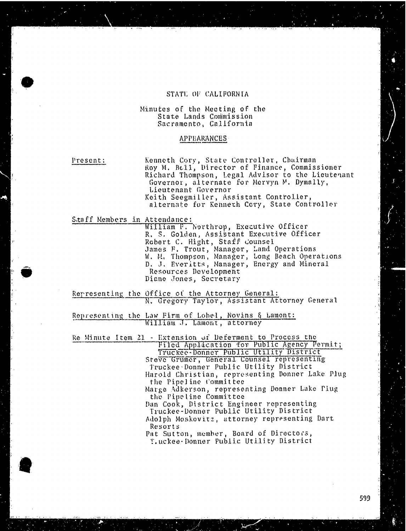#### STATE OF CALIFORNIA

#### Minutes of the Meeting of the State Lands Commission Sacramento, California

#### APPEARANCES

Present: Kenneth Cory, State Controller, Roy M. Bell, Director of Finance, Commissioner Richard Thompson, Legal Advisor to the Lieutenant Governor, alternate for Mervyn M. Dymally, Lieutenant Governor Keith Seegmiller, Assistant Controller, alternate for Kenneth Cory, State Controller

Staff Members in Attendance:

William F. Northrop, Executive R. S. Golden, Assistant Executive Officer<br>Definition of the Contract of Contract of Contract of Contract of Contract of Contract of Contract Officer St Robert C. Hight, Staff Counsel James F. Trout, Manager, Land Operations W. M. Thompson, Manager, Long Beach Operations D. J. Everitts, Manager, Energy and Mineral Resources Development Diane Jones, Secretary

Representing the Office of the Attorney General:<br>N. Gregory Taylor, Assistant Attorney General

Representing the Law Firm of Lohel, Novins & Lamont:<br>William J. Lamont, attorney

Re Minute Item 21 - Extension of Deferment to Process the Filed Application for Public Agency Permit;<br>Truckee-Donner Public Utility District

Steve Grumer, General Counsel representing Truckee . Donner Public Utility District Harold Christian, representing Donner Lake Plug the Pipeline Committee

Marge Adkerson, representing Donner Lake Plug the Pipeline Committee

Dan Cook, District Engineer representing Truckee-Donner Public Utility District Adolph Moskovitz, attorney representing Dart Resorts

Pat Sutton, member, Board of Directors, Truckee - Donner Public Utility District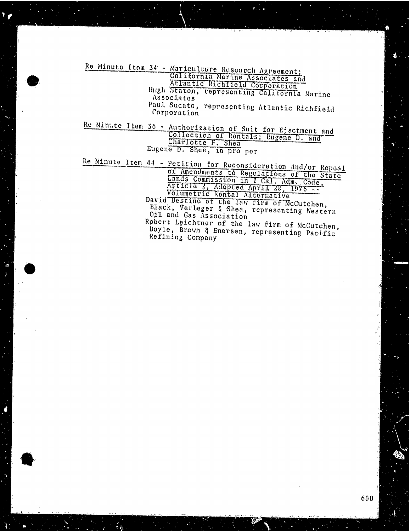Re Minute Item 34 - Mariculture Research Agreement; California Marine Associates Atlantic Richfield Corporation<br>Hugh Staton, representing California Associates Paul Sucato, representing Atlantic Richfield Corporation

Re Minute Item 36 - Authorization of Suit for Ejectment and Collection of Rentals; Eugene D. and Charlotte F. Shea Eugene D. Shea, in pro per

Re Minute Item 44 - Petition for Reconsideration and/or Repeal of Amendments to Regulations of the Lands Commission in 2 Cal. Adm. Article 2, Adopted April 28, Volumetric Rental Alterna David Destino of the law firm of McCu Black, Verleger & Shea, representing Oil and Gas Association Robert Leichtner of the law firm of McCutchen, Doyle, Brown & Enersen, representing Pacific Refining Company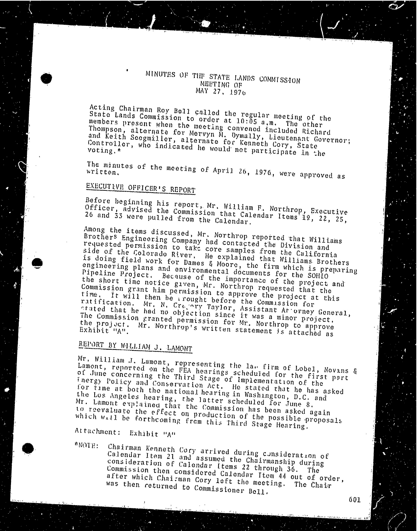#### MINUTES OF THE STATE LANDS COMMISSION MEETING OF MAY 27. 1976

Acting Chairman Roy Bell called the regular meeting of the State Lands Commission to order at 10:05 a.m. State Lands Commission to order at 10:05 a.m. The other members present when the meeting convened included Richard Thompson, alternate for Mervyn M. Dymally, Lieutenant Governor; and Keith Seegmiller, alternate for Kenneth Cory, State Controller, who indicated he would not participate in the

The minutes of the meeting of  $A$ pril 26, 1976, we written.

# EXECUTIVE OFFICER'S REPORT

Before beginning his report, Mr. William F. North Officer, advised the Commission that  $\lim_{n \to \infty} F_n$ . Northrop,  $E_n$ Officer, advised the Commission that Calendar Items 19, 22, 25, 26 and 33 were pulled from the Calendar.

Among the items discussed, Mr. Northern reported that  $\frac{1}{2}$ Brothers Engineering Company had contapp reported that Brothers Engineering Company had contacted the Division and requested permission to take core samples from the California side of the Colorado River. He explained that Williams Brothers is doing field work for Dames & Moore, the firm which is preparing engineering plans and environmental documents for the SOHIO Pipeline Project. Because of the importance of the project and the short time notice given, Mr. Northrop requested that the Commission grant him permission to approve the project at this time. It will then be arought before the Commussion for stated that he had no objection since Assistant Af. The Commission granted permission  $f_{\text{av}}$  and  $\frac{1}{N}$  was a minor prove The Commission granted permission for Mr. Northrop to approve the project. Mr. Northrop's written statement is attached as the project. Mr. Northrop's written statement is attached as

# REPORT BY WILLIAM J. LAMONT

Mr. William J. Lamont, representing the law firm of Lobel, Novans & Lobel, Novans & Lobel, Novans & Lobel, Novans & Lobel, Novans & Lobel, Novans & Lobel, Novans & Lobel, Novans & Lobel, Novans & Lobel, Novans & Lobel, Nov Lamont, reported on the  $F_{\text{EFA}}$  hearing the law firm of of June concerning the Third Stage scheduled inergy Policy and Conservation Act. He has emergency fnergy Policy and Conservation Act. He stated that he has asked for time at both the national hearing in Washington, D.C. and the Los Angeles hearing, the latter scheduled for June 8. Mr. Lamont explained that the Commission has been asked again<br>to reevaluate the effect on production of the possible proposa<br>which will be forthcoming from this Third Stage Hearing. to reevaluate the effect on production of the possible proposals

Attachment: Exhibit "A"

\*NOTE: Chairman Kenneth Cory arrived during consideration Calendar Item 21 and assumed the  $C_1$  and  $C_2$  assumed the  $C_3$ consideration of Calendar Items 22 the Chairmans Commission then considered Calendar Items 24 out of  $\frac{1}{4}$  commission  $\frac{1}{4}$ Commission then considered Calendar Item 44 out of order, after which Chairman Cory left the meeting. The Chair was then returned to Commissioner Bell.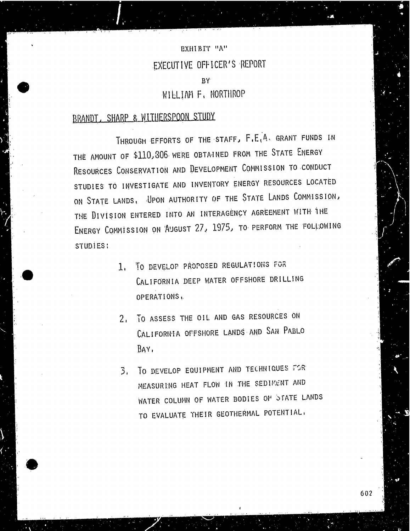## EXHIBIT "A" EXECUTIVE OFFICER'S REPORT BY WILLIAM F. NORTHROP

### BRANDT, SHARP & WITHERSPOON STUDY.

THROUGH EFFORTS OF THE STAFF, F.E.A. GRANT FUNDS IN THE AMOUNT OF \$110, 306 WERE OBTAINED FROM THE STATE ENERGY RESOURCES CONSERVATION AND DEVELOPMENT COMMISSION TO CONDUCT STUDIES TO INVESTIGATE AND INVENTORY ENERGY RESOURCES LOCATED ON STATE LANDS, UPON AUTHORITY OF THE STATE LANDS COMMISSION, THE DIVISION ENTERED INTO AN INTERAGENCY AGREEMENT WITH THE ENERGY COMMISSION ON 'AUGUST 27, 1975, TO PERFORM THE FOLLOWING STUDIES :

- 1. TO DEVELOP PROPOSED REGULATIONS FOR CALIFORNIA DEEP WATER OFFSHORE DRILLING OPERATIONS .
- 2. TO ASSESS THE OIL AND GAS RESOURCES ON CALIFORNIA OFFSHORE LANDS AND SAN PABLO BAY.
- 3. TO DEVELOP EQUIPMENT AND TECHNIQUES FOR MEASURING HEAT FLOW IN THE SEDIMENT AND WATER COLUMN OF WATER BODIES OF STATE LANDS TO EVALUATE THEIR GEOTHERMAL POTENTIAL.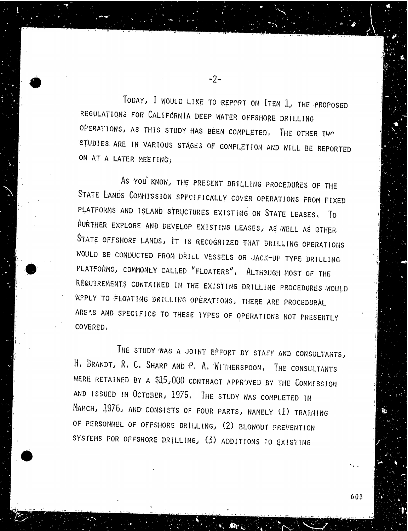TODAY, I WOULD LIKE TO REPORT ON ITEM 1, THE PROPOSED REGULATIONS FOR CALIFORNIA DEEP WATER OFFSHORE DRILLING OPERATIONS, AS THIS STUDY HAS BEEN COMPLETED. THE OTHER TWO STUDIES ARE IN VARIOUS STAGES OF COMPLETION AND WILL BE REPORTED ON AT A LATER MEETING;

-2-

AS YOU KNOW, THE PRESENT DRILLING PROCEDURES OF THE STATE LANDS COMMISSION SPECIFICALLY COVER OPERATIONS FROM FIXED PLATFORMS AND ISLAND STRUCTURES EXISTING ON STATE LEASES. To FURTHER EXPLORE AND DEVELOP EXISTING LEASES, AS WELL AS OTHER STATE OFFSHORE LANDS, IT IS RECOGNIZED THAT DRILLING OPERATIONS WOULD BE CONDUCTED FROM DRILL VESSELS OR JACK-UP TYPE DRILLING PLATFORMS, COMMONLY CALLED "FLOATERS", ALTHOUGH MOST OF THE REQUIREMENTS CONTAINED IN THE EXISTING DRILLING PROCEDURES WOULD APPLY TO FLOATING DRILLING OPERATIONS, THERE ARE PROCEDURAL AREAS AND SPECIFICS TO THESE TYPES OF OPERATIONS NOT PRESENTLY COVERED.

THE STUDY WAS A JOINT EFFORT BY STAFF AND CONSULTANTS, H. BRANDT, R. C. SHARP AND P. A. WITHERSPOON, THE CONSULTANTS WERE RETAINED BY A \$15,000 CONTRACT APPROVED BY THE COMMISSION AND ISSUED IN OCTOBER, 1975. THE STUDY WAS COMPLETED IN MARCH, 1976, AND CONSISTS OF FOUR PARTS, NAMELY (1) TRAINING OF PERSONNEL OF OFFSHORE DRILLING, (2) BLOWOUT PREVENTION SYSTEMS FOR OFFSHORE DRILLING, (3) ADDITIONS TO EXISTING

603

. .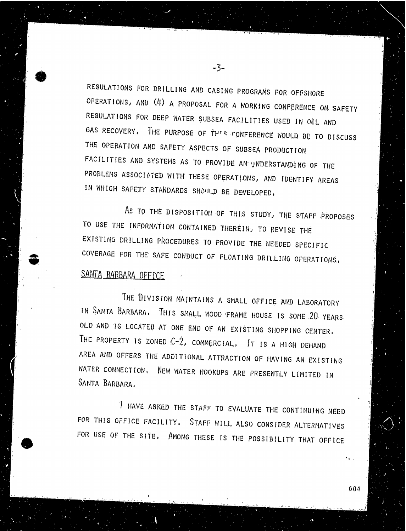REGULATIONS FOR DRILLING AND CASING PROGRAMS FOR OFFSHORE OPERATIONS, AND (4) A PROPOSAL FOR A WORKING CONFERENCE ON SAFETY REGULATIONS FOR DEEP WATER SUBSEA FACILITIES USED IN OIL AND GAS RECOVERY, THE PURPOSE OF THIS CONFERENCE WOULD BE TO DISCUSS THE OPERATION AND SAFETY ASPECTS OF SUBSEA PRODUCTION FACILITIES AND SYSTEMS AS TO PROVIDE AN UNDERSTANDING OF THE PROBLEMS ASSOCIATED WITH THESE OPERATIONS, AND IDENTIFY AREAS IN WHICH SAFETY STANDARDS SHOULD BE DEVELOPED.

-3-

AS TO THE DISPOSITION OF THIS STUDY, THE STAFF PROPOSES TO USE THE INFORMATION CONTAINED THEREIN, TO REVISE THE EXISTING DRILLING PROCEDURES TO PROVIDE THE NEEDED SPECIFIC COVERAGE FOR THE SAFE CONDUCT OF FLOATING DRILLING OPERATIONS., SANTA BARBARA OFFICE

THE DIVISION MAINTAINS A SMALL OFFICE AND LABORATORY IN SANTA BARBARA, THIS SMALL WOOD FRAME HOUSE IS SOME 20 YEARS OLD AND IS LOCATED AT ONE END OF AN EXISTING SHOPPING CENTER, THE PROPERTY IS ZONED  $C-2$ , COMMERCIAL, IT IS A HIGH DEMAND AREA AND OFFERS THE ADDITIONAL ATTRACTION OF HAVING AN EXISTING WATER CONNECTION, NEW WATER HOOKUPS ARE PRESENTLY LIMITED IN SANTA BARBARA.

I HAVE ASKED THE STAFF TO EVALUATE THE CONTINUING NEED FOR THIS OFFICE FACILITY, STAFF WILL ALSO CONSIDER ALTERNATIVES FOR USE OF THE SITE, AMONG THESE IS THE POSSIBILITY THAT OFFICE

604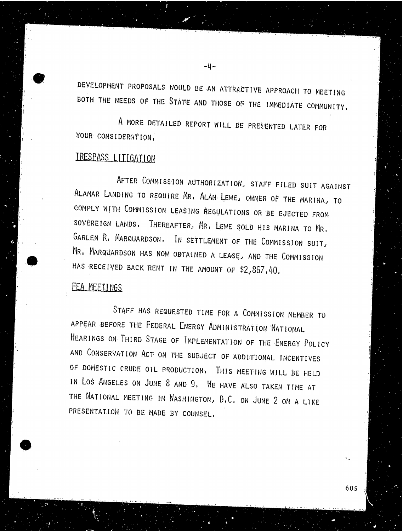DEVELOPMENT PROPOSALS WOULD BE AN ATTRACTIVE APPROACH TO MEETING. BOTH THE NEEDS OF THE STATE AND THOSE OF THE IMMEDIATE COMMUNITY,

-4-

A MORE DETAILED REPORT WILL BE PRESENTED LATER FOR YOUR CONSIDERATION,

### TRESPASS LITIGATION

AFTER COMMISSION AUTHORIZATION, STAFF FILED SUIT AGAINST ALAMAR LANDING TO REQUIRE MR. ALAN LEWE, OWNER OF THE MARINA, TO COMPLY WITH COMMISSION LEASING REGULATIONS OR BE EJECTED FROM SOVEREIGN LANDS, THEREAFTER, MR. LEWE SOLD HIS MARINA TO MR. GARLEN R. MARQUARDSON, IN SETTLEMENT OF THE COMMISSION SUIT, MR. MARQUARDSON HAS NOW OBTAINED A LEASE, AND THE COMMISSION HAS RECEIVED BACK RENT IN THE AMOUNT OF \$2,867. 40.

#### FEA MEETINGS

STAFF HAS REQUESTED TIME FOR A COMMISSION MEMBER TO APPEAR BEFORE THE FEDERAL ENERGY ADMINISTRATION NATIONAL HEARINGS ON THIRD STAGE OF IMPLEMENTATION OF THE ENERGY POLICY AND CONSERVATION ACT ON THE SUBJECT OF ADDITIONAL INCENTIVES OF DOMESTIC CRUDE OIL PRODUCTION. THIS MEETING WILL BE HELD IN LOS ANGELES ON JUNE 8 AND 9. HE HAVE ALSO TAKEN TIME AT THE NATIONAL MEETING IN WASHINGTON, D. C. ON JUNE 2 ON A LIKE PRESENTATION TO BE MADE BY COUNSEL,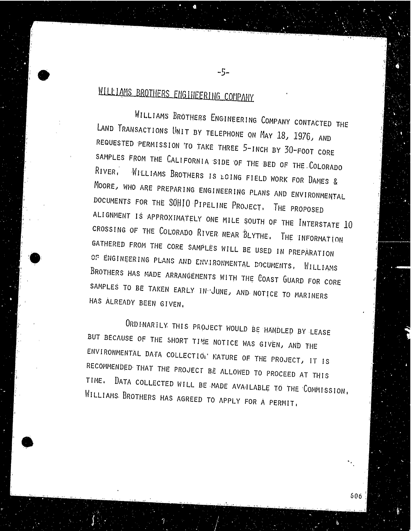# WILLIAMS BROTHERS ENGINEERING COMPANY

WILLIAMS BROTHERS ENGINEERING COMPANY CONTACTED THE LAND TRANSACTIONS UNIT BY TELEPHONE ON MAY 18, 1976, AND REQUESTED PERMISSION TO TAKE THREE 5-INCH BY 30-FOOT CORE SAMPLES FROM THE CALIFORNIA SIDE OF THE BED OF THE COLORADO RIVER, WILLIAMS BROTHERS IS LOING FIELD WORK FOR DAMES & MOORE, WHO ARE PREPARING ENGINEERING PLANS AND ENVIRONMENTAL DOCUMENTS FOR THE SOHIO PIPELINE PROJECT. THE PROPOSED ALIGNMENT IS APPROXIMATELY ONE MILE SOUTH OF THE INTERSTATE 10 CROSSING OF THE COLORADO RIVER NEAR BLYTHE. THE INFORMATION GATHERED FROM THE CORE SAMPLES WILL BE USED IN PREPARATION OF ENGINEERING PLANS AND ENVIRONMENTAL DOCUMENTS, WILLIAMS BROTHERS HAS MADE ARRANGEMENTS WITH THE COAST GUARD FOR CORE SAMPLES TO BE TAKEN EARLY IN JUNE, AND NOTICE TO MARINERS HAS ALREADY BEEN GIVEN.

 $-5-$ 

ORDINARILY. THIS PROJECT WOULD BE HANDLED BY LEASE BUT BECAUSE OF THE SHORT TIME NOTICE WAS GIVEN, AND THE ENVIRONMENTAL DATA COLLECTION NATURE OF THE PROJECT, IT IS RECOMMENDED THAT THE PROJECT BE ALLOWED TO PROCEED AT THIS TIME. DATA COLLECTED WILL BE MADE AVAILABLE TO THE COMMISSION, WILLIAMS. BROTHERS HAS AGREED TO APPLY FOR A PERMIT,

606